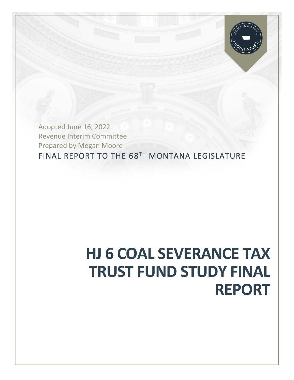

FINAL REPORT TO THE 68TH MONTANA LEGISLATURE Adopted June 16, 2022 Revenue Interim Committee Prepared by Megan Moore

# **HJ 6 COAL SEVERANCE TAX TRUST FUND STUDY FINAL REPORT**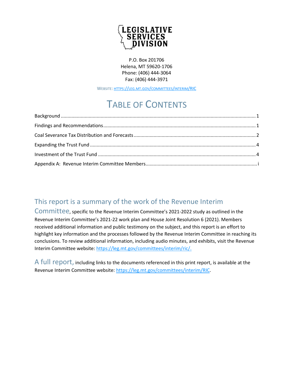

P.O. Box 201706 Helena, MT 59620-1706 Phone: (406) 444-3064 Fax: (406) 444-3971

WEBSITE: HTTPS://LEG.MT.GOV/[COMMITTEES](https://leg.mt.gov/committees/interim/RIC)/INTERIM/RIC

# TABLE OF CONTENTS

### This report is a summary of the work of the Revenue Interim

Committee, specific to the Revenue Interim Committee's 2021-2022 study as outlined in the Revenue Interim Committee's 2021-22 work plan and House Joint Resolution 6 (2021). Members received additional information and public testimony on the subject, and this report is an effort to highlight key information and the processes followed by the Revenue Interim Committee in reaching its conclusions. To review additional information, including audio minutes, and exhibits, visit the Revenue Interim Committee website: [https://leg.mt.gov/committees/interim/ric/.](https://leg.mt.gov/committees/interim/ric/)

A full report, including links to the documents referenced in this print report, is available at the Revenue Interim Committee website: [https://leg.mt.gov/committees/interim/RIC.](https://leg.mt.gov/committees/interim/ric/)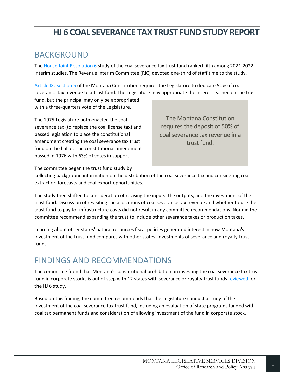### <span id="page-2-0"></span>BACKGROUND

The [House Joint Resolution 6](http://laws.leg.mt.gov/legprd/LAW0203W$BSRV.ActionQuery?P_SESS=20211&P_BLTP_BILL_TYP_CD=HJ&P_BILL_NO=6&P_BILL_DFT_NO=&P_CHPT_NO=&Z_ACTION=Find&P_ENTY_ID_SEQ2=&P_SBJT_SBJ_CD=&P_ENTY_ID_SEQ=) study of the coal severance tax trust fund ranked fifth among 2021-2022 interim studies. The Revenue Interim Committee (RIC) devoted one-third of staff time to the study.

[Article IX, Section 5](https://leg.mt.gov/bills/mca/title_0000/article_0090/part_0010/section_0050/0000-0090-0010-0050.html) of the Montana Constitution requires the Legislature to dedicate 50% of coal severance tax revenue to a trust fund. The Legislature may appropriate the interest earned on the trust fund, but the principal may only be appropriated with a three-quarters vote of the Legislature.

The 1975 Legislature both enacted the coal severance tax (to replace the coal license tax) and passed legislation to place the constitutional amendment creating the coal severance tax trust fund on the ballot. The constitutional amendment passed in 1976 with 63% of votes in support.

The Montana Constitution requires the deposit of 50% of coal severance tax revenue in a trust fund.

The committee began the trust fund study by

collecting background information on the distribution of the coal severance tax and considering coal extraction forecasts and coal export opportunities.

The study then shifted to consideration of revising the inputs, the outputs, and the investment of the trust fund. Discussion of revisiting the allocations of coal severance tax revenue and whether to use the trust fund to pay for infrastructure costs did not result in any committee recommendations. Nor did the committee recommend expanding the trust to include other severance taxes or production taxes.

Learning about other states' natural resources fiscal policies generated interest in how Montana's investment of the trust fund compares with other states' investments of severance and royalty trust funds.

# <span id="page-2-1"></span>FINDINGS AND RECOMMENDATIONS

The committee found that Montana's constitutional prohibition on investing the coal severance tax trust fund in corporate stocks is out of step with 12 states with severance or royalty trust funds [reviewed](https://leg.mt.gov/content/Committees/Interim/2021-2022/Revenue/Meetings/April-2022/HJ6-states-investment.pdf) for the HJ 6 study.

Based on this finding, the committee recommends that the Legislature conduct a study of the investment of the coal severance tax trust fund, including an evaluation of state programs funded with coal tax permanent funds and consideration of allowing investment of the fund in corporate stock.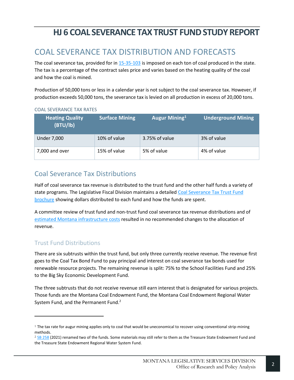# <span id="page-3-0"></span>COAL SEVERANCE TAX DISTRIBUTION AND FORECASTS

The coal severance tax, provided for in [15-35-103](https://leg.mt.gov/bills/mca/title_0150/chapter_0350/part_0010/section_0030/0150-0350-0010-0030.html) is imposed on each ton of coal produced in the state. The tax is a percentage of the contract sales price and varies based on the heating quality of the coal and how the coal is mined.

Production of 50,000 tons or less in a calendar year is not subject to the coal severance tax. However, if production exceeds 50,000 tons, the severance tax is levied on all production in excess of 20,000 tons.

| <b>Heating Quality</b><br>(BTU/lb) | <b>Surface Mining</b> | Augur Mining <sup>1</sup> | <b>Underground Mining</b> |
|------------------------------------|-----------------------|---------------------------|---------------------------|
| <b>Under 7,000</b>                 | 10% of value          | 3.75% of value            | 3% of value               |
| 7,000 and over                     | 15% of value          | 5% of value               | 4% of value               |

### COAL SEVERANCE TAX RATES

### Coal Severance Tax Distributions

Half of coal severance tax revenue is distributed to the trust fund and the other half funds a variety of state programs. The Legislative Fiscal Division maintains a detailed Coal Severance Tax Trust Fund [brochure](https://leg.mt.gov/content/Committees/Interim/2021-2022/Revenue/Meetings/September-2021/2021-ric-final-work-plan.pdf) showing dollars distributed to each fund and how the funds are spent.

A committee review of trust fund and non-trust fund coal severance tax revenue distributions and of [estimated Montana infrastructure costs](https://leg.mt.gov/content/Committees/Interim/2021-2022/Revenue/Meetings/January-2022/LFD-HJ6-infrastructure.pdf) resulted in no recommended changes to the allocation of revenue.

### Trust Fund Distributions

There are six subtrusts within the trust fund, but only three currently receive revenue. The revenue first goes to the Coal Tax Bond Fund to pay principal and interest on coal severance tax bonds used for renewable resource projects. The remaining revenue is split: 75% to the School Facilities Fund and 25% to the Big Sky Economic Development Fund.

The three subtrusts that do not receive revenue still earn interest that is designated for various projects. Those funds are the Montana Coal Endowment Fund, the Montana Coal Endowment Regional Water System Fund, and the Permanent Fund.<sup>2</sup>

 $1$  The tax rate for augur mining applies only to coal that would be uneconomical to recover using conventional strip-mining methods.

 $2$  [SB 258](https://leg.mt.gov/bills/2021/billpdf/SB0258.pdf) (2021) renamed two of the funds. Some materials may still refer to them as the Treasure State Endowment Fund and the Treasure State Endowment Regional Water System Fund.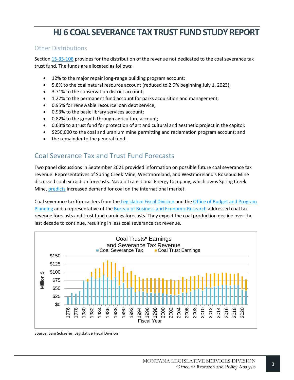### Other Distributions

Sectio[n 15-35-108](https://leg.mt.gov/bills/mca/title_0150/chapter_0350/part_0010/section_0080/0150-0350-0010-0080.html) provides for the distribution of the revenue not dedicated to the coal severance tax trust fund. The funds are allocated as follows:

- 12% to the major repair long-range building program account;
- 5.8% to the coal natural resource account (reduced to 2.9% beginning July 1, 2023);
- 3.71% to the conservation district account;
- 1.27% to the permanent fund account for parks acquisition and management;
- 0.95% for renewable resource loan debt service;
- 0.93% to the basic library services account;
- 0.82% to the growth through agriculture account;
- 0.63% to a trust fund for protection of art and cultural and aesthetic project in the capitol;
- \$250,000 to the coal and uranium mine permitting and reclamation program account; and
- the remainder to the general fund.

### Coal Severance Tax and Trust Fund Forecasts

Two panel discussions in September 2021 provided information on possible future coal severance tax revenue. Representatives of Spring Creek Mine, Westmoreland, and Westmoreland's Rosebud Mine discussed coal extraction forecasts. Navajo Transitional Energy Company, which owns Spring Creek Mine[, predicts](https://leg.mt.gov/content/Committees/Interim/2021-2022/Revenue/Meetings/September-2021/Schwend-Spring-Creek-slides.pdf) increased demand for coal on the international market.

Coal severance tax forecasters from the [Legislative Fiscal Division](https://leg.mt.gov/content/Committees/Interim/2021-2022/Revenue/Meetings/September-2021/LFD-Coal-Severance-Tax-Forecasting.pdf) and th[e Office of Budget and Program](https://leg.mt.gov/content/Committees/Interim/2021-2022/Revenue/Meetings/September-2021/OBPP-Coal-Revenue-Presentation-%28Final%29.pdf)  [Planning](https://leg.mt.gov/content/Committees/Interim/2021-2022/Revenue/Meetings/September-2021/OBPP-Coal-Revenue-Presentation-%28Final%29.pdf) and a representative of the [Bureau of Business and Economic Research](https://leg.mt.gov/content/Committees/Interim/2021-2022/Revenue/Meetings/September-2021/Barkey-Coal-Presentation-to-RIC.pdf) addressed coal tax revenue forecasts and trust fund earnings forecasts. They expect the coal production decline over the last decade to continue, resulting in less coal severance tax revenue.



Source: Sam Schaefer, Legislative Fiscal Division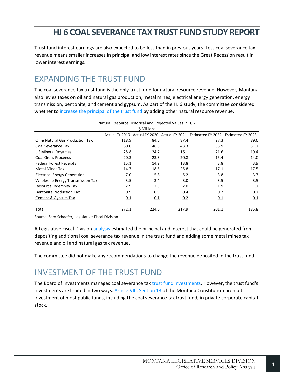Trust fund interest earnings are also expected to be less than in previous years. Less coal severance tax revenue means smaller increases in principal and low interest rates since the Great Recession result in lower interest earnings.

# <span id="page-5-0"></span>EXPANDING THE TRUST FUND

The coal severance tax trust fund is the only trust fund for natural resource revenue. However, Montana also levies taxes on oil and natural gas production, metal mines, electrical energy generation, energy transmission, bentonite, and cement and gypsum. As part of the HJ 6 study, the committee considered whether to [increase the principal of the trust fund](https://leg.mt.gov/content/Committees/Interim/2021-2022/Revenue/Meetings/January-2022/HJ6-addtl-nr-revenue-projections.pdf) by adding other natural resource revenue.

| Natural Resource Historical and Projected Values in HJ 2 |                |       |       |                                                                   |       |  |  |  |
|----------------------------------------------------------|----------------|-------|-------|-------------------------------------------------------------------|-------|--|--|--|
| (\$ Millions)                                            |                |       |       |                                                                   |       |  |  |  |
|                                                          | Actual FY 2019 |       |       | Actual FY 2020 Actual FY 2021 Estimated FY 2022 Estimated FY 2023 |       |  |  |  |
| Oil & Natural Gas Production Tax                         | 118.9          | 84.6  | 87.4  | 97.3                                                              | 89.6  |  |  |  |
| Coal Severance Tax                                       | 60.0           | 46.8  | 43.3  | 35.9                                                              | 31.7  |  |  |  |
| <b>US Mineral Royalties</b>                              | 28.8           | 24.7  | 16.1  | 21.6                                                              | 19.4  |  |  |  |
| Coal Gross Proceeds                                      | 20.3           | 23.3  | 20.8  | 15.4                                                              | 14.0  |  |  |  |
| <b>Federal Forest Receipts</b>                           | 15.1           | 14.2  | 13.8  | 3.8                                                               | 3.9   |  |  |  |
| <b>Metal Mines Tax</b>                                   | 14.7           | 18.6  | 25.8  | 17.1                                                              | 17.5  |  |  |  |
| <b>Electrical Energy Generation</b>                      | 7.0            | 5.8   | 5.2   | 3.8                                                               | 3.7   |  |  |  |
| Wholesale Energy Transmission Tax                        | 3.5            | 3.4   | 3.0   | 3.5                                                               | 3.5   |  |  |  |
| Resource Indemnity Tax                                   | 2.9            | 2.3   | 2.0   | 1.9                                                               | 1.7   |  |  |  |
| <b>Bentonite Production Tax</b>                          | 0.9            | 0.9   | 0.4   | 0.7                                                               | 0.7   |  |  |  |
| Cement & Gypsum Tax                                      | 0.1            | 0.1   | 0.2   | 0.1                                                               | 0.1   |  |  |  |
| Total                                                    | 272.1          | 224.6 | 217.9 | 201.1                                                             | 185.8 |  |  |  |

Source: Sam Schaefer, Legislative Fiscal Division

A Legislative Fiscal Divisio[n analysis](https://leg.mt.gov/content/Committees/Interim/2021-2022/Revenue/Meetings/January-2022/lfd-hj-6-additional-rev-estimates.pdf) estimated the principal and interest that could be generated from depositing additional coal severance tax revenue in the trust fund and adding some metal mines tax revenue and oil and natural gas tax revenue.

The committee did not make any recommendations to change the revenue deposited in the trust fund.

# <span id="page-5-1"></span>INVESTMENT OF THE TRUST FUND

The Board of Investments manages coal severance ta[x trust fund investments.](https://leg.mt.gov/content/Committees/Interim/2021-2022/Revenue/Meetings/November-2021/BOI-Coal-Trust.pdf) However, the trust fund's investments are limited in two ways. [Article VIII, Section 13](https://leg.mt.gov/bills/mca/title_0000/article_0080/part_0010/section_0130/0000-0080-0010-0130.html) of the Montana Constitution prohibits investment of most public funds, including the coal severance tax trust fund, in private corporate capital stock.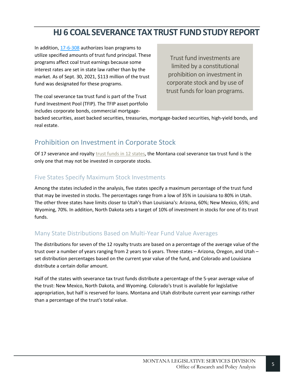In addition, [17-6-308](https://leg.mt.gov/bills/mca/title_0170/chapter_0060/part_0030/section_0080/0170-0060-0030-0080.html) authorizes loan programs to utilize specified amounts of trust fund principal. These programs affect coal trust earnings because some interest rates are set in state law rather than by the market. As of Sept. 30, 2021, \$113 million of the trust fund was designated for these programs.

Trust fund investments are limited by a constitutional prohibition on investment in corporate stock and by use of trust funds for loan programs.

The coal severance tax trust fund is part of the Trust Fund Investment Pool (TFIP). The TFIP asset portfolio includes corporate bonds, commercial mortgage-

backed securities, asset backed securities, treasuries, mortgage-backed securities, high-yield bonds, and real estate.

### Prohibition on Investment in Corporate Stock

Of 17 severance and royalty [trust funds in 12 states,](https://leg.mt.gov/content/Committees/Interim/2021-2022/Revenue/Meetings/April-2022/HJ6-states-investment.pdf) the Montana coal severance tax trust fund is the only one that may not be invested in corporate stocks.

### Five States Specify Maximum Stock Investments

Among the states included in the analysis, five states specify a maximum percentage of the trust fund that may be invested in stocks. The percentages range from a low of 35% in Louisiana to 80% in Utah. The other three states have limits closer to Utah's than Louisiana's: Arizona, 60%; New Mexico, 65%; and Wyoming, 70%. In addition, North Dakota sets a target of 10% of investment in stocks for one of its trust funds.

### Many State Distributions Based on Multi-Year Fund Value Averages

The distributions for seven of the 12 royalty trusts are based on a percentage of the average value of the trust over a number of years ranging from 2 years to 6 years. Three states – Arizona, Oregon, and Utah – set distribution percentages based on the current year value of the fund, and Colorado and Louisiana distribute a certain dollar amount.

Half of the states with severance tax trust funds distribute a percentage of the 5-year average value of the trust: New Mexico, North Dakota, and Wyoming. Colorado's trust is available for legislative appropriation, but half is reserved for loans. Montana and Utah distribute current year earnings rather than a percentage of the trust's total value.